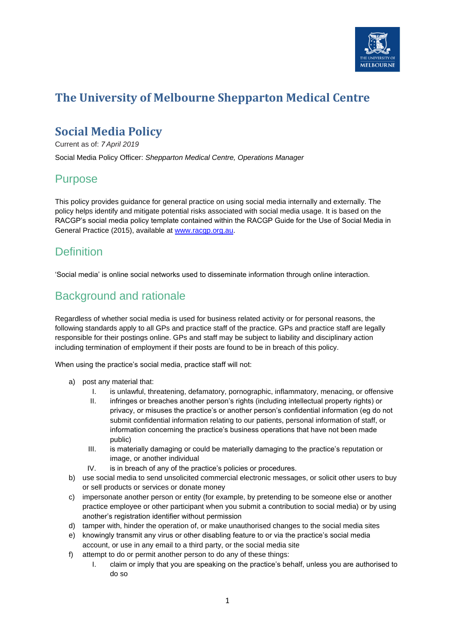

# **The University of Melbourne Shepparton Medical Centre**

# **Social Media Policy**

Current as of: *7 April 2019*

Social Media Policy Officer: *Shepparton Medical Centre, Operations Manager*

#### Purpose

This policy provides guidance for general practice on using social media internally and externally. The policy helps identify and mitigate potential risks associated with social media usage. It is based on the RACGP's social media policy template contained within the RACGP Guide for the Use of Social Media in General Practice (2015), available at [www.racgp.org.au.](http://www.racgp.org.au/)

## **Definition**

'Social media' is online social networks used to disseminate information through online interaction.

# Background and rationale

Regardless of whether social media is used for business related activity or for personal reasons, the following standards apply to all GPs and practice staff of the practice. GPs and practice staff are legally responsible for their postings online. GPs and staff may be subject to liability and disciplinary action including termination of employment if their posts are found to be in breach of this policy.

When using the practice's social media, practice staff will not:

- a) post any material that:
	- I. is unlawful, threatening, defamatory, pornographic, inflammatory, menacing, or offensive
	- II. infringes or breaches another person's rights (including intellectual property rights) or privacy, or misuses the practice's or another person's confidential information (eg do not submit confidential information relating to our patients, personal information of staff, or information concerning the practice's business operations that have not been made public)
	- III. is materially damaging or could be materially damaging to the practice's reputation or image, or another individual
	- IV. is in breach of any of the practice's policies or procedures.
- b) use social media to send unsolicited commercial electronic messages, or solicit other users to buy or sell products or services or donate money
- c) impersonate another person or entity (for example, by pretending to be someone else or another practice employee or other participant when you submit a contribution to social media) or by using another's registration identifier without permission
- d) tamper with, hinder the operation of, or make unauthorised changes to the social media sites
- e) knowingly transmit any virus or other disabling feature to or via the practice's social media account, or use in any email to a third party, or the social media site
- f) attempt to do or permit another person to do any of these things:
	- I. claim or imply that you are speaking on the practice's behalf, unless you are authorised to do so